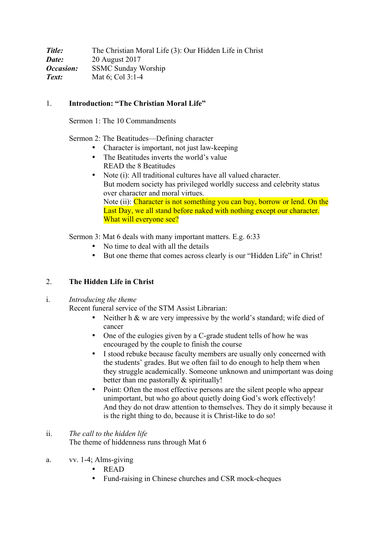**Title:** The Christian Moral Life (3): Our Hidden Life in Christ *Date:* 20 August 2017 *Occasion:* SSMC Sunday Worship *Text:* Mat 6; Col 3:1-4

## 1. **Introduction: "The Christian Moral Life"**

Sermon 1: The 10 Commandments

Sermon 2: The Beatitudes—Defining character

- Character is important, not just law-keeping
- The Beatitudes inverts the world's value READ the 8 Beatitudes
- Note (i): All traditional cultures have all valued character. But modern society has privileged worldly success and celebrity status over character and moral virtues. Note (ii): Character is not something you can buy, borrow or lend. On the Last Day, we all stand before naked with nothing except our character. What will everyone see?

Sermon 3: Mat 6 deals with many important matters. E.g. 6:33

- No time to deal with all the details
- But one theme that comes across clearly is our "Hidden Life" in Christ!

## 2. **The Hidden Life in Christ**

i. *Introducing the theme*

Recent funeral service of the STM Assist Librarian:

- Neither h & w are very impressive by the world's standard; wife died of cancer
- One of the eulogies given by a C-grade student tells of how he was encouraged by the couple to finish the course
- I stood rebuke because faculty members are usually only concerned with the students' grades. But we often fail to do enough to help them when they struggle academically. Someone unknown and unimportant was doing better than me pastorally  $\&$  spiritually!
- Point: Often the most effective persons are the silent people who appear unimportant, but who go about quietly doing God's work effectively! And they do not draw attention to themselves. They do it simply because it is the right thing to do, because it is Christ-like to do so!
- ii. *The call to the hidden life* The theme of hiddenness runs through Mat 6
- a. vv. 1-4; Alms-giving
	- READ
	- Fund-raising in Chinese churches and CSR mock-cheques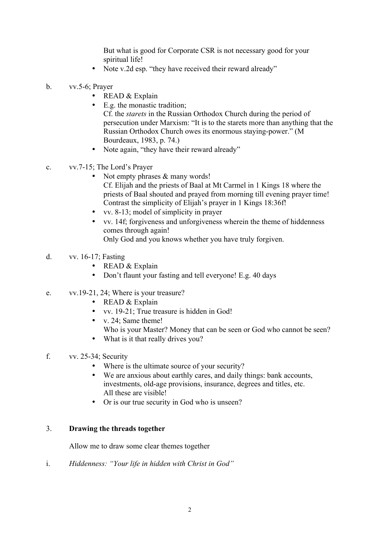But what is good for Corporate CSR is not necessary good for your spiritual life!

- Note v.2d esp. "they have received their reward already"
- b. vv.5-6; Prayer
	- READ & Explain
	- E.g. the monastic tradition; Cf. the *starets* in the Russian Orthodox Church during the period of persecution under Marxism: "It is to the starets more than anything that the Russian Orthodox Church owes its enormous staying-power." (M Bourdeaux, 1983, p. 74.)
	- Note again, "they have their reward already"
- c. vv.7-15; The Lord's Prayer
	- Not empty phrases  $&$  many words! Cf. Elijah and the priests of Baal at Mt Carmel in 1 Kings 18 where the priests of Baal shouted and prayed from morning till evening prayer time! Contrast the simplicity of Elijah's prayer in 1 Kings 18:36f!
	- vv. 8-13; model of simplicity in prayer
	- vv. 14f; forgiveness and unforgiveness wherein the theme of hiddenness comes through again! Only God and you knows whether you have truly forgiven.
- d. vv. 16-17; Fasting
	- READ & Explain
	- Don't flaunt your fasting and tell everyone! E.g. 40 days
- e. vv.19-21, 24; Where is your treasure?
	- READ & Explain
	- vv. 19-21; True treasure is hidden in God!
	- v. 24; Same theme! Who is your Master? Money that can be seen or God who cannot be seen?
	- What is it that really drives you?
- f. vv. 25-34; Security
	- Where is the ultimate source of your security?
	- We are anxious about earthly cares, and daily things: bank accounts, investments, old-age provisions, insurance, degrees and titles, etc. All these are visible!
	- Or is our true security in God who is unseen?

## 3. **Drawing the threads together**

Allow me to draw some clear themes together

i. *Hiddenness: "Your life in hidden with Christ in God"*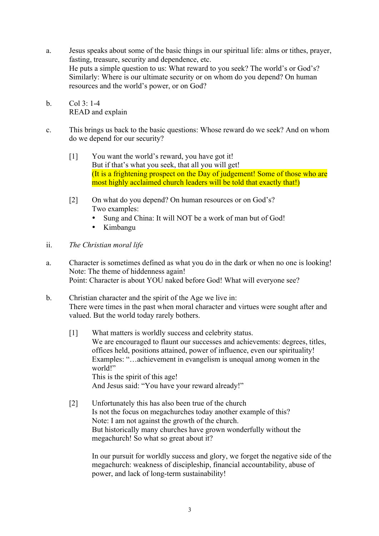- a. Jesus speaks about some of the basic things in our spiritual life: alms or tithes, prayer, fasting, treasure, security and dependence, etc. He puts a simple question to us: What reward to you seek? The world's or God's? Similarly: Where is our ultimate security or on whom do you depend? On human resources and the world's power, or on God?
- b. Col 3: 1-4 READ and explain
- c. This brings us back to the basic questions: Whose reward do we seek? And on whom do we depend for our security?
	- [1] You want the world's reward, you have got it! But if that's what you seek, that all you will get! (It is a frightening prospect on the Day of judgement! Some of those who are most highly acclaimed church leaders will be told that exactly that!)
	- [2] On what do you depend? On human resources or on God's? Two examples:
		- Sung and China: It will NOT be a work of man but of God!
		- Kimbangu
- ii. *The Christian moral life*
- a. Character is sometimes defined as what you do in the dark or when no one is looking! Note: The theme of hiddenness again! Point: Character is about YOU naked before God! What will everyone see?
- b. Christian character and the spirit of the Age we live in: There were times in the past when moral character and virtues were sought after and valued. But the world today rarely bothers.
	- [1] What matters is worldly success and celebrity status. We are encouraged to flaunt our successes and achievements: degrees, titles, offices held, positions attained, power of influence, even our spirituality! Examples: "…achievement in evangelism is unequal among women in the world!" This is the spirit of this age! And Jesus said: "You have your reward already!"
	- [2] Unfortunately this has also been true of the church Is not the focus on megachurches today another example of this? Note: I am not against the growth of the church. But historically many churches have grown wonderfully without the megachurch! So what so great about it?

In our pursuit for worldly success and glory, we forget the negative side of the megachurch: weakness of discipleship, financial accountability, abuse of power, and lack of long-term sustainability!